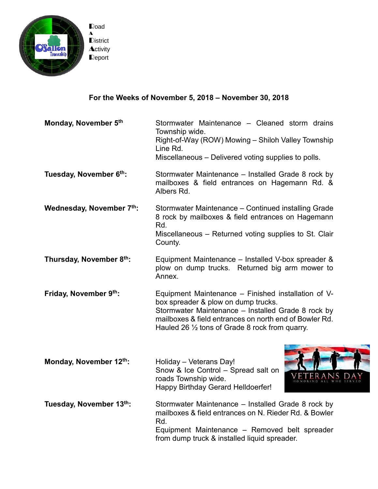

## **For the Weeks of November 5, 2018 – November 30, 2018**

**Monday, November 5 th** Stormwater Maintenance – Cleaned storm drains Township wide. Right-of-Way (ROW) Mowing – Shiloh Valley Township Line Rd. Miscellaneous – Delivered voting supplies to polls.

**Tuesday, November 6 th:** Stormwater Maintenance – Installed Grade 8 rock by mailboxes & field entrances on Hagemann Rd. & Albers Rd.

- **Wednesday, November 7 th:** Stormwater Maintenance – Continued installing Grade 8 rock by mailboxes & field entrances on Hagemann Rd. Miscellaneous – Returned voting supplies to St. Clair County.
- **Thursday, November 8 th:** Equipment Maintenance – Installed V-box spreader & plow on dump trucks. Returned big arm mower to Annex.
- **Friday, November 9 th:** Equipment Maintenance – Finished installation of Vbox spreader & plow on dump trucks. Stormwater Maintenance – Installed Grade 8 rock by mailboxes & field entrances on north end of Bowler Rd. Hauled 26 ½ tons of Grade 8 rock from quarry.
- **Monday, November 12<sup>th</sup>:** Holiday Veterans Day! Snow & Ice Control – Spread salt on roads Township wide. Happy Birthday Gerard Helldoerfer!



**Tuesday, November 13 th:** Stormwater Maintenance – Installed Grade 8 rock by mailboxes & field entrances on N. Rieder Rd. & Bowler Rd. Equipment Maintenance – Removed belt spreader from dump truck & installed liquid spreader.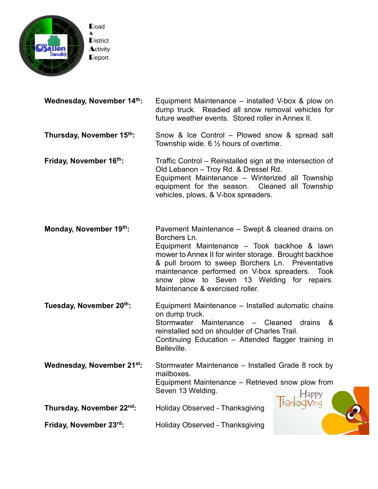

| Wednesday, November 14th: | Equipment Maintenance – installed V-box & plow on                                                      |
|---------------------------|--------------------------------------------------------------------------------------------------------|
|                           | dump truck. Readied all snow removal vehicles for<br>future weather events. Stored roller in Annex II. |
|                           |                                                                                                        |

## **Thursday, November 15 th:** Snow & Ice Control – Plowed snow & spread salt Township wide. 6 ½ hours of overtime.

**Friday, November 16 th:** Traffic Control – Reinstalled sign at the intersection of Old Lebanon – Troy Rd. & Dressel Rd. Equipment Maintenance – Winterized all Township equipment for the season. Cleaned all Township vehicles, plows, & V-box spreaders.

**Monday, November 19<sup>th</sup>:** Pavement Maintenance – Swept & cleaned drains on Borchers Ln. Equipment Maintenance – Took backhoe & lawn mower to Annex II for winter storage. Brought backhoe & pull broom to sweep Borchers Ln. Preventative maintenance performed on V-box spreaders. Took snow plow to Seven 13 Welding for repairs. Maintenance & exercised roller.

**Tuesday, November 20 th:** Equipment Maintenance – Installed automatic chains on dump truck. Stormwater Maintenance – Cleaned drains & reinstalled sod on shoulder of Charles Trail. Continuing Education – Attended flagger training in Belleville.

**Wednesday, November 21st:** Stormwater Maintenance – Installed Grade 8 rock by mailboxes. Equipment Maintenance – Retrieved snow plow from Seven 13 Welding.  $H$ appy hanksdiving

**Thursday, November 22<sup>nd</sup>:** Holiday Observed - Thanksgiving

**Friday, November 23<sup>rd</sup>:** Holiday Observed - Thanksgiving